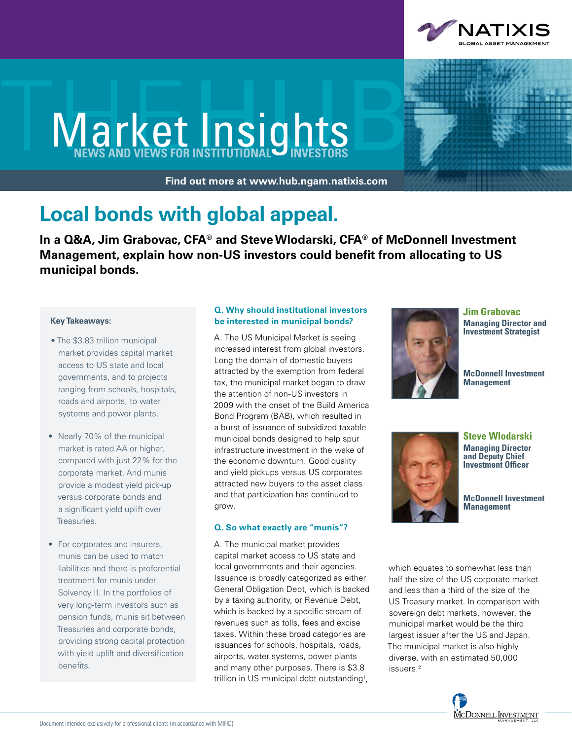

# **Market Insights**

**Find out more at www.hub.ngam.natixis.com**



### **Local bonds with global appeal.**

**In a Q&A, Jim Grabovac, CFA® and Steve Wlodarski, CFA® of McDonnell Investment Management, explain how non-US investors could benefit from allocating to US municipal bonds.** 

#### **Key Takeaways:**

- The \$3.83 trillion municipal market provides capital market access to US state and local governments, and to projects ranging from schools, hospitals, roads and airports, to water systems and power plants.
- Nearly 70% of the municipal market is rated AA or higher, compared with just 22% for the corporate market. And munis provide a modest yield pick-up versus corporate bonds and a significant yield uplift over Treasuries.
- For corporates and insurers, munis can be used to match liabilities and there is preferential treatment for munis under Solvency II. In the portfolios of very long-term investors such as pension funds, munis sit between Treasuries and corporate bonds, providing strong capital protection with yield uplift and diversification benefits.

#### **Q. Why should institutional investors be interested in municipal bonds?**

A. The US Municipal Market is seeing increased interest from global investors. Long the domain of domestic buyers attracted by the exemption from federal tax, the municipal market began to draw the attention of non-US investors in 2009 with the onset of the Build America Bond Program (BAB), which resulted in a burst of issuance of subsidized taxable municipal bonds designed to help spur infrastructure investment in the wake of the economic downturn. Good quality and yield pickups versus US corporates attracted new buyers to the asset class and that participation has continued to grow.

#### **Q. So what exactly are "munis"?**

A. The municipal market provides capital market access to US state and local governments and their agencies. Issuance is broadly categorized as either General Obligation Debt, which is backed by a taxing authority, or Revenue Debt, which is backed by a specific stream of revenues such as tolls, fees and excise taxes. Within these broad categories are issuances for schools, hospitals, roads, airports, water systems, power plants and many other purposes. There is \$3.8 trillion in US municipal debt outstanding<sup>1</sup>,



**Jim Grabovac Managing Director and Investment Strategist**

**McDonnell Investment Management**



**Managing Director and Deputy Chief Investment Officer**

**McDonnell Investment Management**

which equates to somewhat less than half the size of the US corporate market and less than a third of the size of the US Treasury market. In comparison with sovereign debt markets, however, the municipal market would be the third largest issuer after the US and Japan. The municipal market is also highly diverse, with an estimated 50,000 issuers.2

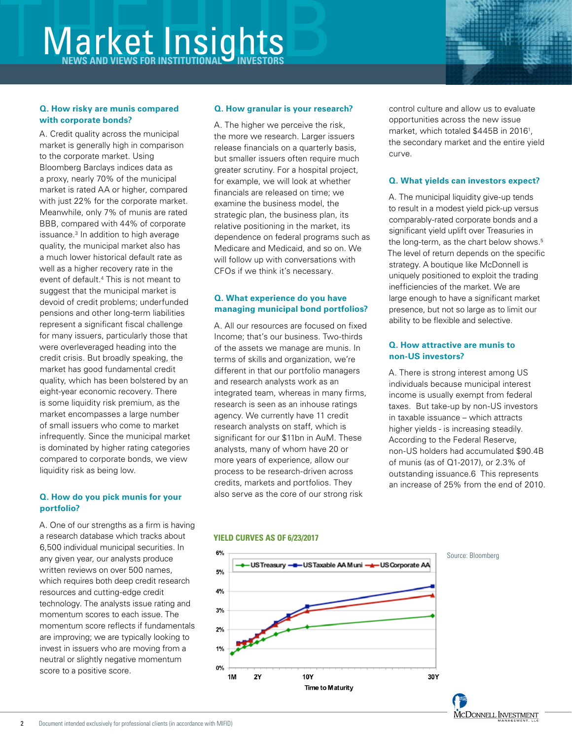## **Market Insights**

#### **Q. How risky are munis compared with corporate bonds?**

A. Credit quality across the municipal market is generally high in comparison to the corporate market. Using Bloomberg Barclays indices data as a proxy, nearly 70% of the municipal market is rated AA or higher, compared with just 22% for the corporate market. Meanwhile, only 7% of munis are rated BBB, compared with 44% of corporate issuance.3 In addition to high average quality, the municipal market also has a much lower historical default rate as well as a higher recovery rate in the event of default.4 This is not meant to suggest that the municipal market is devoid of credit problems; underfunded pensions and other long-term liabilities represent a significant fiscal challenge for many issuers, particularly those that were overleveraged heading into the credit crisis. But broadly speaking, the market has good fundamental credit quality, which has been bolstered by an eight-year economic recovery. There is some liquidity risk premium, as the market encompasses a large number of small issuers who come to market infrequently. Since the municipal market is dominated by higher rating categories compared to corporate bonds, we view liquidity risk as being low.

#### **Q. How do you pick munis for your portfolio?**

A. One of our strengths as a firm is having a research database which tracks about 6,500 individual municipal securities. In any given year, our analysts produce written reviews on over 500 names, which requires both deep credit research resources and cutting-edge credit technology. The analysts issue rating and momentum scores to each issue. The momentum score reflects if fundamentals are improving; we are typically looking to invest in issuers who are moving from a neutral or slightly negative momentum score to a positive score.

#### **Q. How granular is your research?**

A. The higher we perceive the risk, the more we research. Larger issuers release financials on a quarterly basis, but smaller issuers often require much greater scrutiny. For a hospital project, for example, we will look at whether financials are released on time; we examine the business model, the strategic plan, the business plan, its relative positioning in the market, its dependence on federal programs such as Medicare and Medicaid, and so on. We will follow up with conversations with CFOs if we think it's necessary.

### **Q. What experience do you have managing municipal bond portfolios?**

A. All our resources are focused on fixed Income; that's our business. Two-thirds of the assets we manage are munis. In terms of skills and organization, we're different in that our portfolio managers and research analysts work as an integrated team, whereas in many firms, research is seen as an inhouse ratings agency. We currently have 11 credit research analysts on staff, which is significant for our \$11bn in AuM. These analysts, many of whom have 20 or more years of experience, allow our process to be research-driven across credits, markets and portfolios. They also serve as the core of our strong risk

control culture and allow us to evaluate opportunities across the new issue market, which totaled \$445B in 20161 , the secondary market and the entire yield curve.

#### **Q. What yields can investors expect?**

A. The municipal liquidity give-up tends to result in a modest yield pick-up versus comparably-rated corporate bonds and a significant yield uplift over Treasuries in the long-term, as the chart below shows.<sup>5</sup> The level of return depends on the specific strategy. A boutique like McDonnell is uniquely positioned to exploit the trading inefficiencies of the market. We are large enough to have a significant market presence, but not so large as to limit our ability to be flexible and selective.

#### **Q. How attractive are munis to non-US investors?**

A. There is strong interest among US individuals because municipal interest income is usually exempt from federal taxes. But take-up by non-US investors in taxable issuance – which attracts higher yields - is increasing steadily. According to the Federal Reserve, non-US holders had accumulated \$90.4B of munis (as of Q1-2017), or 2.3% of outstanding issuance.6 This represents an increase of 25% from the end of 2010.

#### **YIELD CURVES AS OF 6/23/2017**



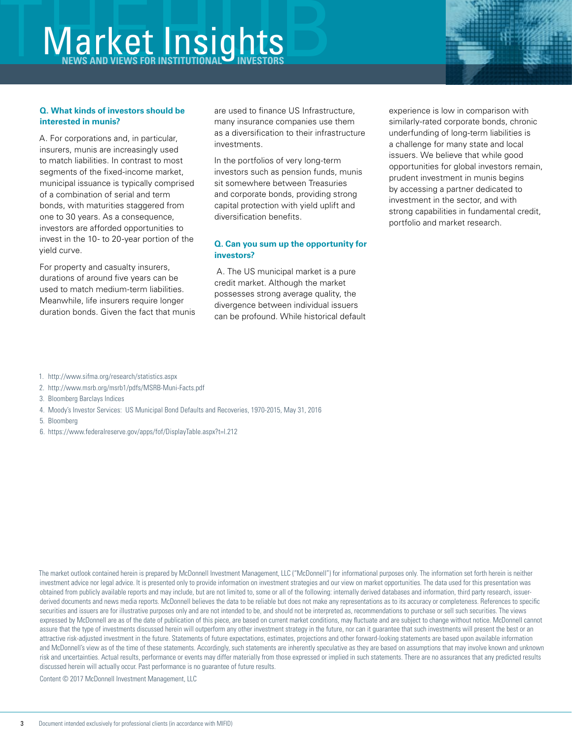### **Market Insights**

#### **Q. What kinds of investors should be interested in munis?**

A. For corporations and, in particular, insurers, munis are increasingly used to match liabilities. In contrast to most segments of the fixed-income market, municipal issuance is typically comprised of a combination of serial and term bonds, with maturities staggered from one to 30 years. As a consequence, investors are afforded opportunities to invest in the 10- to 20-year portion of the yield curve.

For property and casualty insurers, durations of around five years can be used to match medium-term liabilities. Meanwhile, life insurers require longer duration bonds. Given the fact that munis are used to finance US Infrastructure, many insurance companies use them as a diversification to their infrastructure investments.

In the portfolios of very long-term investors such as pension funds, munis sit somewhere between Treasuries and corporate bonds, providing strong capital protection with yield uplift and diversification benefits.

### **Q. Can you sum up the opportunity for investors?**

 A. The US municipal market is a pure credit market. Although the market possesses strong average quality, the divergence between individual issuers can be profound. While historical default experience is low in comparison with similarly-rated corporate bonds, chronic underfunding of long-term liabilities is a challenge for many state and local issuers. We believe that while good opportunities for global investors remain, prudent investment in munis begins by accessing a partner dedicated to investment in the sector, and with strong capabilities in fundamental credit, portfolio and market research.

- 1. http://www.sifma.org/research/statistics.aspx
- 2. http://www.msrb.org/msrb1/pdfs/MSRB-Muni-Facts.pdf
- 3. Bloomberg Barclays Indices
- 4. Moody's Investor Services: US Municipal Bond Defaults and Recoveries, 1970-2015, May 31, 2016
- 5. Bloomberg
- 6. https://www.federalreserve.gov/apps/fof/DisplayTable.aspx?t=l.212

The market outlook contained herein is prepared by McDonnell Investment Management, LLC ("McDonnell") for informational purposes only. The information set forth herein is neither investment advice nor legal advice. It is presented only to provide information on investment strategies and our view on market opportunities. The data used for this presentation was obtained from publicly available reports and may include, but are not limited to, some or all of the following: internally derived databases and information, third party research, issuerderived documents and news media reports. McDonnell believes the data to be reliable but does not make any representations as to its accuracy or completeness. References to specific securities and issuers are for illustrative purposes only and are not intended to be, and should not be interpreted as, recommendations to purchase or sell such securities. The views expressed by McDonnell are as of the date of publication of this piece, are based on current market conditions, may fluctuate and are subject to change without notice. McDonnell cannot assure that the type of investments discussed herein will outperform any other investment strategy in the future, nor can it guarantee that such investments will present the best or an attractive risk-adjusted investment in the future. Statements of future expectations, estimates, projections and other forward-looking statements are based upon available information and McDonnell's view as of the time of these statements. Accordingly, such statements are inherently speculative as they are based on assumptions that may involve known and unknown risk and uncertainties. Actual results, performance or events may differ materially from those expressed or implied in such statements. There are no assurances that any predicted results discussed herein will actually occur. Past performance is no guarantee of future results.

Content © 2017 McDonnell Investment Management, LLC